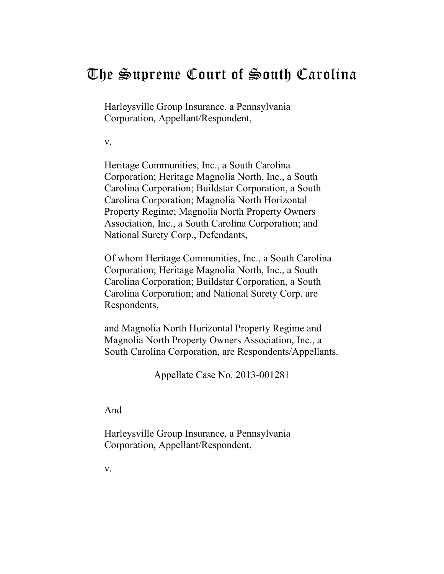# The Supreme Court of South Carolina

Harleysville Group Insurance, a Pennsylvania Corporation, Appellant/Respondent,

v.

Heritage Communities, Inc., a South Carolina Corporation; Heritage Magnolia North, Inc., a South Carolina Corporation; Buildstar Corporation, a South Carolina Corporation; Magnolia North Horizontal Property Regime; Magnolia North Property Owners Association, Inc., a South Carolina Corporation; and National Surety Corp., Defendants,

Of whom Heritage Communities, Inc., a South Carolina Corporation; Heritage Magnolia North, Inc., a South Carolina Corporation; Buildstar Corporation, a South Carolina Corporation; and National Surety Corp. are Respondents,

and Magnolia North Horizontal Property Regime and Magnolia North Property Owners Association, Inc., a South Carolina Corporation, are Respondents/Appellants.

Appellate Case No. 2013-001281

And

Harleysville Group Insurance, a Pennsylvania Corporation, Appellant/Respondent,

v.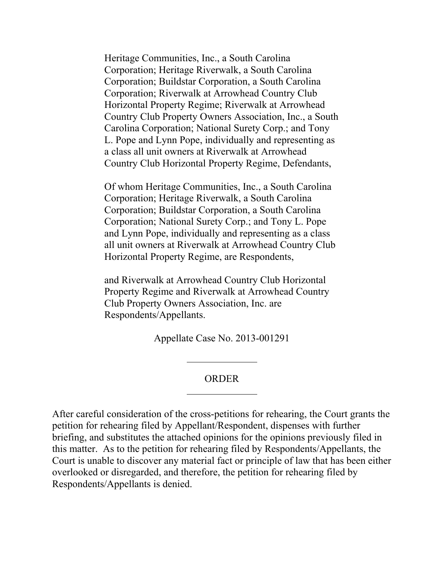Heritage Communities, Inc., a South Carolina Corporation; Heritage Riverwalk, a South Carolina Corporation; Buildstar Corporation, a South Carolina Corporation; Riverwalk at Arrowhead Country Club Horizontal Property Regime; Riverwalk at Arrowhead Country Club Property Owners Association, Inc., a South Carolina Corporation; National Surety Corp.; and Tony L. Pope and Lynn Pope, individually and representing as a class all unit owners at Riverwalk at Arrowhead Country Club Horizontal Property Regime, Defendants,

Of whom Heritage Communities, Inc., a South Carolina Corporation; Heritage Riverwalk, a South Carolina Corporation; Buildstar Corporation, a South Carolina Corporation; National Surety Corp.; and Tony L. Pope and Lynn Pope, individually and representing as a class all unit owners at Riverwalk at Arrowhead Country Club Horizontal Property Regime, are Respondents,

and Riverwalk at Arrowhead Country Club Horizontal Property Regime and Riverwalk at Arrowhead Country Club Property Owners Association, Inc. are Respondents/Appellants.

Appellate Case No. 2013-001291

#### ORDER

After careful consideration of the cross-petitions for rehearing, the Court grants the petition for rehearing filed by Appellant/Respondent, dispenses with further briefing, and substitutes the attached opinions for the opinions previously filed in this matter. As to the petition for rehearing filed by Respondents/Appellants, the Court is unable to discover any material fact or principle of law that has been either overlooked or disregarded, and therefore, the petition for rehearing filed by Respondents/Appellants is denied.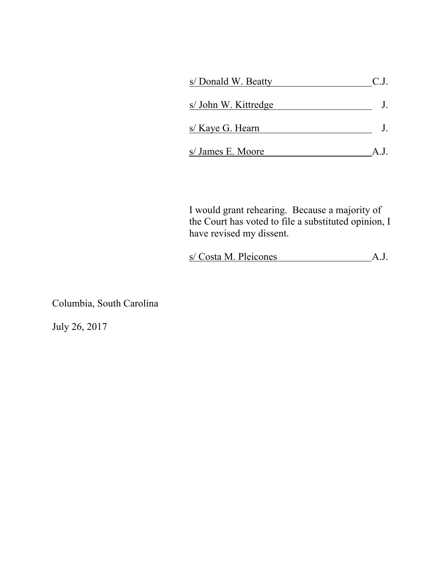| s/ Donald W. Beatty  | C.J.         |
|----------------------|--------------|
| s/ John W. Kittredge |              |
| s/ Kaye G. Hearn     |              |
| s/ James E. Moore    | $A_{.}I_{.}$ |

I would grant rehearing. Because a majority of the Court has voted to file a substituted opinion, I have revised my dissent.

|  | s/ Costa M. Pleicones |  |
|--|-----------------------|--|
|  |                       |  |

Columbia, South Carolina

July 26, 2017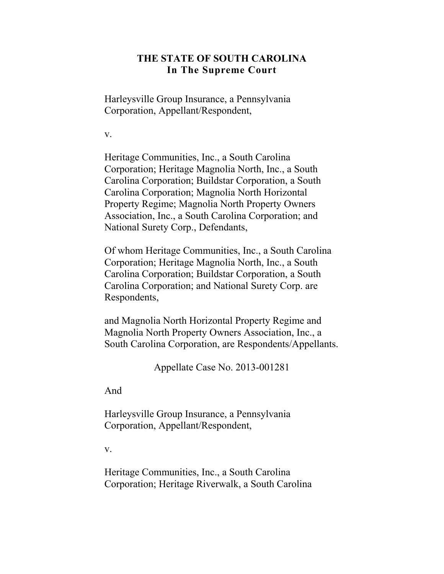## **THE STATE OF SOUTH CAROLINA In The Supreme Court**

Harleysville Group Insurance, a Pennsylvania Corporation, Appellant/Respondent,

v.

Heritage Communities, Inc., a South Carolina Corporation; Heritage Magnolia North, Inc., a South Carolina Corporation; Buildstar Corporation, a South Carolina Corporation; Magnolia North Horizontal Property Regime; Magnolia North Property Owners Association, Inc., a South Carolina Corporation; and National Surety Corp., Defendants,

Of whom Heritage Communities, Inc., a South Carolina Corporation; Heritage Magnolia North, Inc., a South Carolina Corporation; Buildstar Corporation, a South Carolina Corporation; and National Surety Corp. are Respondents,

and Magnolia North Horizontal Property Regime and Magnolia North Property Owners Association, Inc., a South Carolina Corporation, are Respondents/Appellants.

Appellate Case No. 2013-001281

And

Harleysville Group Insurance, a Pennsylvania Corporation, Appellant/Respondent,

v.

Heritage Communities, Inc., a South Carolina Corporation; Heritage Riverwalk, a South Carolina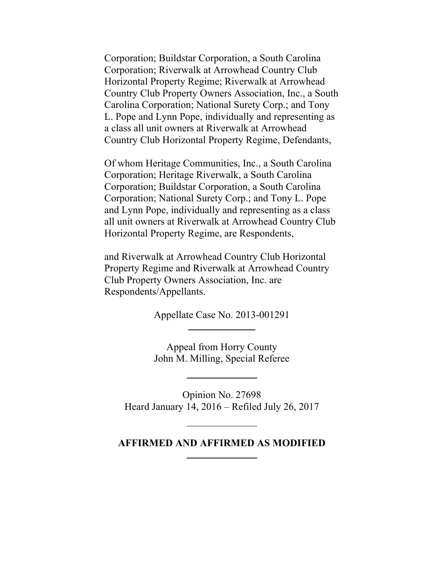Corporation; Buildstar Corporation, a South Carolina Corporation; Riverwalk at Arrowhead Country Club Horizontal Property Regime; Riverwalk at Arrowhead Country Club Property Owners Association, Inc., a South Carolina Corporation; National Surety Corp.; and Tony L. Pope and Lynn Pope, individually and representing as a class all unit owners at Riverwalk at Arrowhead Country Club Horizontal Property Regime, Defendants,

Of whom Heritage Communities, Inc., a South Carolina Corporation; Heritage Riverwalk, a South Carolina Corporation; Buildstar Corporation, a South Carolina Corporation; National Surety Corp.; and Tony L. Pope and Lynn Pope, individually and representing as a class all unit owners at Riverwalk at Arrowhead Country Club Horizontal Property Regime, are Respondents,

and Riverwalk at Arrowhead Country Club Horizontal Property Regime and Riverwalk at Arrowhead Country Club Property Owners Association, Inc. are Respondents/Appellants.

Appellate Case No. 2013-001291

Appeal from Horry County John M. Milling, Special Referee

Opinion No. 27698 Heard January 14, 2016 – Refiled July 26, 2017

#### **AFFIRMED AND AFFIRMED AS MODIFIED**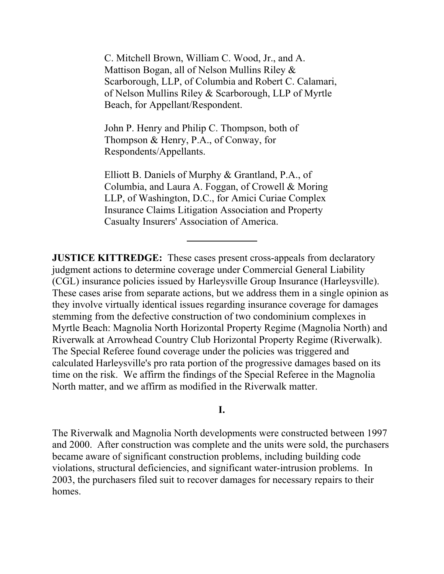C. Mitchell Brown, William C. Wood, Jr., and A. Mattison Bogan, all of Nelson Mullins Riley & Scarborough, LLP, of Columbia and Robert C. Calamari, of Nelson Mullins Riley & Scarborough, LLP of Myrtle Beach, for Appellant/Respondent.

John P. Henry and Philip C. Thompson, both of Thompson & Henry, P.A., of Conway, for Respondents/Appellants.

Elliott B. Daniels of Murphy & Grantland, P.A., of Columbia, and Laura A. Foggan, of Crowell & Moring LLP, of Washington, D.C., for Amici Curiae Complex Insurance Claims Litigation Association and Property Casualty Insurers' Association of America.

**JUSTICE KITTREDGE:** These cases present cross-appeals from declaratory judgment actions to determine coverage under Commercial General Liability (CGL) insurance policies issued by Harleysville Group Insurance (Harleysville). These cases arise from separate actions, but we address them in a single opinion as they involve virtually identical issues regarding insurance coverage for damages stemming from the defective construction of two condominium complexes in Myrtle Beach: Magnolia North Horizontal Property Regime (Magnolia North) and Riverwalk at Arrowhead Country Club Horizontal Property Regime (Riverwalk). The Special Referee found coverage under the policies was triggered and calculated Harleysville's pro rata portion of the progressive damages based on its time on the risk. We affirm the findings of the Special Referee in the Magnolia North matter, and we affirm as modified in the Riverwalk matter.

#### **I.**

The Riverwalk and Magnolia North developments were constructed between 1997 and 2000. After construction was complete and the units were sold, the purchasers became aware of significant construction problems, including building code violations, structural deficiencies, and significant water-intrusion problems. In 2003, the purchasers filed suit to recover damages for necessary repairs to their homes.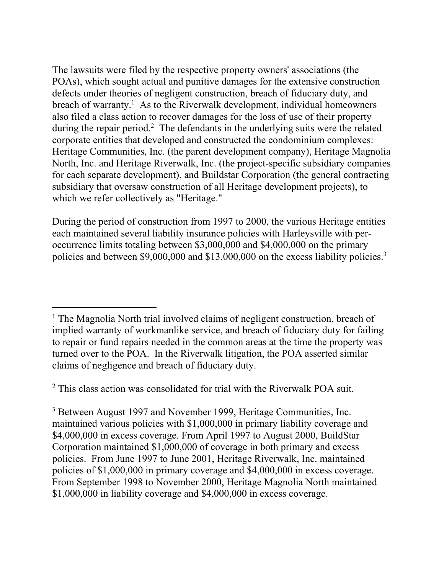The lawsuits were filed by the respective property owners' associations (the POAs), which sought actual and punitive damages for the extensive construction defects under theories of negligent construction, breach of fiduciary duty, and breach of warranty.<sup>1</sup> As to the Riverwalk development, individual homeowners also filed a class action to recover damages for the loss of use of their property during the repair period.<sup>2</sup> The defendants in the underlying suits were the related corporate entities that developed and constructed the condominium complexes: Heritage Communities, Inc. (the parent development company), Heritage Magnolia North, Inc. and Heritage Riverwalk, Inc. (the project-specific subsidiary companies for each separate development), and Buildstar Corporation (the general contracting subsidiary that oversaw construction of all Heritage development projects), to which we refer collectively as "Heritage."

policies and between \$9,000,000 and \$13,000,000 on the excess liability policies.<sup>3</sup> During the period of construction from 1997 to 2000, the various Heritage entities each maintained several liability insurance policies with Harleysville with peroccurrence limits totaling between \$3,000,000 and \$4,000,000 on the primary

<sup>2</sup> This class action was consolidated for trial with the Riverwalk POA suit.

<sup>3</sup> Between August 1997 and November 1999, Heritage Communities, Inc. maintained various policies with \$1,000,000 in primary liability coverage and \$4,000,000 in excess coverage. From April 1997 to August 2000, BuildStar Corporation maintained \$1,000,000 of coverage in both primary and excess policies. From June 1997 to June 2001, Heritage Riverwalk, Inc. maintained policies of \$1,000,000 in primary coverage and \$4,000,000 in excess coverage. From September 1998 to November 2000, Heritage Magnolia North maintained \$1,000,000 in liability coverage and \$4,000,000 in excess coverage.

 $\overline{a}$ <sup>1</sup> The Magnolia North trial involved claims of negligent construction, breach of implied warranty of workmanlike service, and breach of fiduciary duty for failing to repair or fund repairs needed in the common areas at the time the property was turned over to the POA. In the Riverwalk litigation, the POA asserted similar claims of negligence and breach of fiduciary duty.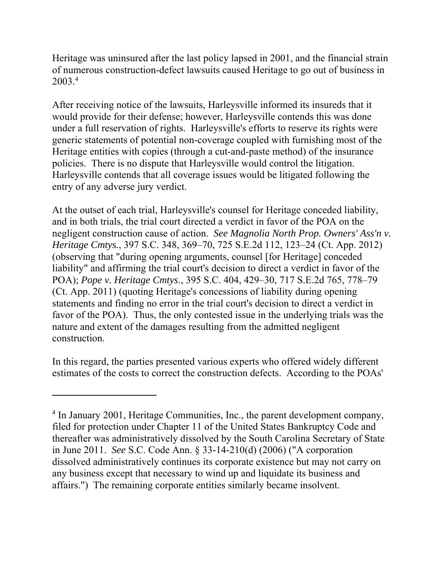2003.4 Heritage was uninsured after the last policy lapsed in 2001, and the financial strain of numerous construction-defect lawsuits caused Heritage to go out of business in

After receiving notice of the lawsuits, Harleysville informed its insureds that it would provide for their defense; however, Harleysville contends this was done under a full reservation of rights. Harleysville's efforts to reserve its rights were generic statements of potential non-coverage coupled with furnishing most of the Heritage entities with copies (through a cut-and-paste method) of the insurance policies. There is no dispute that Harleysville would control the litigation. Harleysville contends that all coverage issues would be litigated following the entry of any adverse jury verdict.

At the outset of each trial, Harleysville's counsel for Heritage conceded liability, and in both trials, the trial court directed a verdict in favor of the POA on the negligent construction cause of action. *See Magnolia North Prop. Owners' Ass'n v. Heritage Cmtys.*, 397 S.C. 348, 369–70, 725 S.E.2d 112, 123–24 (Ct. App. 2012) (observing that "during opening arguments, counsel [for Heritage] conceded liability" and affirming the trial court's decision to direct a verdict in favor of the POA); *Pope v. Heritage Cmtys*., 395 S.C. 404, 429–30, 717 S.E.2d 765, 778–79 (Ct. App. 2011) (quoting Heritage's concessions of liability during opening statements and finding no error in the trial court's decision to direct a verdict in favor of the POA). Thus, the only contested issue in the underlying trials was the nature and extent of the damages resulting from the admitted negligent construction.

In this regard, the parties presented various experts who offered widely different estimates of the costs to correct the construction defects. According to the POAs'

<sup>&</sup>lt;sup>4</sup> In January 2001, Heritage Communities, Inc., the parent development company, filed for protection under Chapter 11 of the United States Bankruptcy Code and thereafter was administratively dissolved by the South Carolina Secretary of State in June 2011. *See* S.C. Code Ann. § 33-14-210(d) (2006) ("A corporation dissolved administratively continues its corporate existence but may not carry on any business except that necessary to wind up and liquidate its business and affairs.") The remaining corporate entities similarly became insolvent.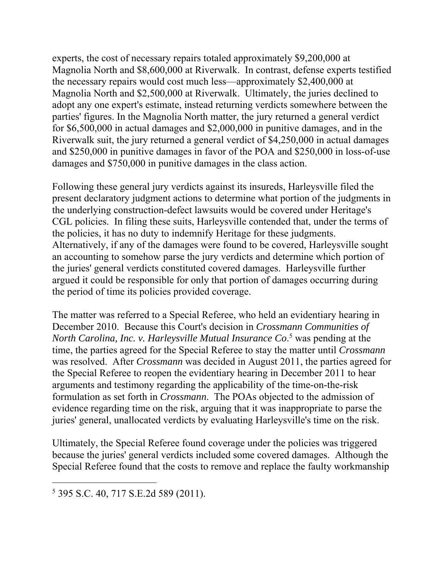experts, the cost of necessary repairs totaled approximately \$9,200,000 at Magnolia North and \$8,600,000 at Riverwalk. In contrast, defense experts testified the necessary repairs would cost much less—approximately \$2,400,000 at Magnolia North and \$2,500,000 at Riverwalk. Ultimately, the juries declined to adopt any one expert's estimate, instead returning verdicts somewhere between the parties' figures. In the Magnolia North matter, the jury returned a general verdict for \$6,500,000 in actual damages and \$2,000,000 in punitive damages, and in the Riverwalk suit, the jury returned a general verdict of \$4,250,000 in actual damages and \$250,000 in punitive damages in favor of the POA and \$250,000 in loss-of-use damages and \$750,000 in punitive damages in the class action.

Following these general jury verdicts against its insureds, Harleysville filed the present declaratory judgment actions to determine what portion of the judgments in the underlying construction-defect lawsuits would be covered under Heritage's CGL policies. In filing these suits, Harleysville contended that, under the terms of the policies, it has no duty to indemnify Heritage for these judgments. Alternatively, if any of the damages were found to be covered, Harleysville sought an accounting to somehow parse the jury verdicts and determine which portion of the juries' general verdicts constituted covered damages. Harleysville further argued it could be responsible for only that portion of damages occurring during the period of time its policies provided coverage.

The matter was referred to a Special Referee, who held an evidentiary hearing in December 2010. Because this Court's decision in *Crossmann Communities of North Carolina, Inc. v. Harleysville Mutual Insurance Co*. 5 was pending at the time, the parties agreed for the Special Referee to stay the matter until *Crossmann*  was resolved. After *Crossmann* was decided in August 2011, the parties agreed for the Special Referee to reopen the evidentiary hearing in December 2011 to hear arguments and testimony regarding the applicability of the time-on-the-risk formulation as set forth in *Crossmann*. The POAs objected to the admission of evidence regarding time on the risk, arguing that it was inappropriate to parse the juries' general, unallocated verdicts by evaluating Harleysville's time on the risk.

Ultimately, the Special Referee found coverage under the policies was triggered because the juries' general verdicts included some covered damages. Although the Special Referee found that the costs to remove and replace the faulty workmanship

<sup>5</sup> 395 S.C. 40, 717 S.E.2d 589 (2011).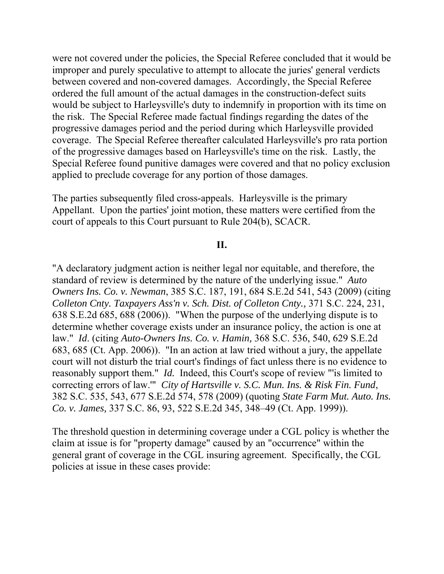were not covered under the policies, the Special Referee concluded that it would be improper and purely speculative to attempt to allocate the juries' general verdicts between covered and non-covered damages. Accordingly, the Special Referee ordered the full amount of the actual damages in the construction-defect suits would be subject to Harleysville's duty to indemnify in proportion with its time on the risk. The Special Referee made factual findings regarding the dates of the progressive damages period and the period during which Harleysville provided coverage. The Special Referee thereafter calculated Harleysville's pro rata portion of the progressive damages based on Harleysville's time on the risk. Lastly, the Special Referee found punitive damages were covered and that no policy exclusion applied to preclude coverage for any portion of those damages.

The parties subsequently filed cross-appeals. Harleysville is the primary Appellant. Upon the parties' joint motion, these matters were certified from the court of appeals to this Court pursuant to Rule 204(b), SCACR.

#### **II.**

"A declaratory judgment action is neither legal nor equitable, and therefore, the standard of review is determined by the nature of the underlying issue." *Auto Owners Ins. Co. v. Newman*, 385 S.C. 187, 191, 684 S.E.2d 541, 543 (2009) (citing *Colleton Cnty. Taxpayers Ass'n v. Sch. Dist. of Colleton Cnty.,* 371 S.C. 224, 231, 638 S.E.2d 685, 688 (2006)). "When the purpose of the underlying dispute is to determine whether coverage exists under an insurance policy, the action is one at law." *Id*. (citing *Auto-Owners Ins. Co. v. Hamin,* 368 S.C. 536, 540, 629 S.E.2d 683, 685 (Ct. App. 2006)). "In an action at law tried without a jury, the appellate court will not disturb the trial court's findings of fact unless there is no evidence to reasonably support them." *Id.* Indeed, this Court's scope of review "'is limited to correcting errors of law.'" *City of Hartsville v. S.C. Mun. Ins. & Risk Fin. Fund*, 382 S.C. 535, 543, 677 S.E.2d 574, 578 (2009) (quoting *State Farm Mut. Auto. Ins. Co. v. James,* 337 S.C. 86, 93, 522 S.E.2d 345, 348–49 (Ct. App. 1999)).

The threshold question in determining coverage under a CGL policy is whether the claim at issue is for "property damage" caused by an "occurrence" within the general grant of coverage in the CGL insuring agreement. Specifically, the CGL policies at issue in these cases provide: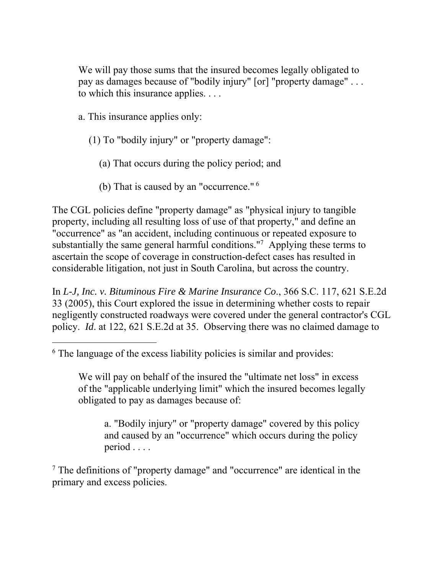We will pay those sums that the insured becomes legally obligated to pay as damages because of "bodily injury" [or] "property damage" . . . to which this insurance applies. . . .

a. This insurance applies only:

 $\overline{a}$ 

- (1) To "bodily injury" or "property damage":
	- (a) That occurs during the policy period; and
	- (b) That is caused by an "occurrence." 6

The CGL policies define "property damage" as "physical injury to tangible property, including all resulting loss of use of that property," and define an "occurrence" as "an accident, including continuous or repeated exposure to substantially the same general harmful conditions."<sup>7</sup> Applying these terms to ascertain the scope of coverage in construction-defect cases has resulted in considerable litigation, not just in South Carolina, but across the country.

In *L-J, Inc. v. Bituminous Fire & Marine Insurance Co*., 366 S.C. 117, 621 S.E.2d 33 (2005), this Court explored the issue in determining whether costs to repair negligently constructed roadways were covered under the general contractor's CGL policy. *Id*. at 122, 621 S.E.2d at 35. Observing there was no claimed damage to

a. "Bodily injury" or "property damage" covered by this policy and caused by an "occurrence" which occurs during the policy period . . . .

<sup>7</sup> The definitions of "property damage" and "occurrence" are identical in the primary and excess policies.

<sup>&</sup>lt;sup>6</sup> The language of the excess liability policies is similar and provides:

We will pay on behalf of the insured the "ultimate net loss" in excess of the "applicable underlying limit" which the insured becomes legally obligated to pay as damages because of: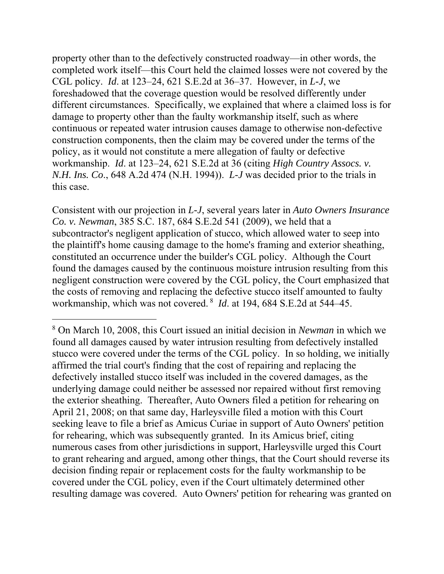property other than to the defectively constructed roadway—in other words, the completed work itself—this Court held the claimed losses were not covered by the CGL policy. *Id*. at 123–24, 621 S.E.2d at 36–37. However, in *L-J*, we foreshadowed that the coverage question would be resolved differently under different circumstances. Specifically, we explained that where a claimed loss is for damage to property other than the faulty workmanship itself, such as where continuous or repeated water intrusion causes damage to otherwise non-defective construction components, then the claim may be covered under the terms of the policy, as it would not constitute a mere allegation of faulty or defective workmanship. *Id*. at 123–24, 621 S.E.2d at 36 (citing *High Country Assocs. v. N.H. Ins. Co*., 648 A.2d 474 (N.H. 1994)). *L-J* was decided prior to the trials in this case.

 workmanship, which was not covered. 8 *Id*. at 194, 684 S.E.2d at 544–45. Consistent with our projection in *L-J*, several years later in *Auto Owners Insurance Co. v. Newman*, 385 S.C. 187, 684 S.E.2d 541 (2009), we held that a subcontractor's negligent application of stucco, which allowed water to seep into the plaintiff's home causing damage to the home's framing and exterior sheathing, constituted an occurrence under the builder's CGL policy. Although the Court found the damages caused by the continuous moisture intrusion resulting from this negligent construction were covered by the CGL policy, the Court emphasized that the costs of removing and replacing the defective stucco itself amounted to faulty

<sup>8</sup> On March 10, 2008, this Court issued an initial decision in *Newman* in which we found all damages caused by water intrusion resulting from defectively installed stucco were covered under the terms of the CGL policy. In so holding, we initially affirmed the trial court's finding that the cost of repairing and replacing the defectively installed stucco itself was included in the covered damages, as the underlying damage could neither be assessed nor repaired without first removing the exterior sheathing. Thereafter, Auto Owners filed a petition for rehearing on April 21, 2008; on that same day, Harleysville filed a motion with this Court seeking leave to file a brief as Amicus Curiae in support of Auto Owners' petition for rehearing, which was subsequently granted. In its Amicus brief, citing numerous cases from other jurisdictions in support, Harleysville urged this Court to grant rehearing and argued, among other things, that the Court should reverse its decision finding repair or replacement costs for the faulty workmanship to be covered under the CGL policy, even if the Court ultimately determined other resulting damage was covered. Auto Owners' petition for rehearing was granted on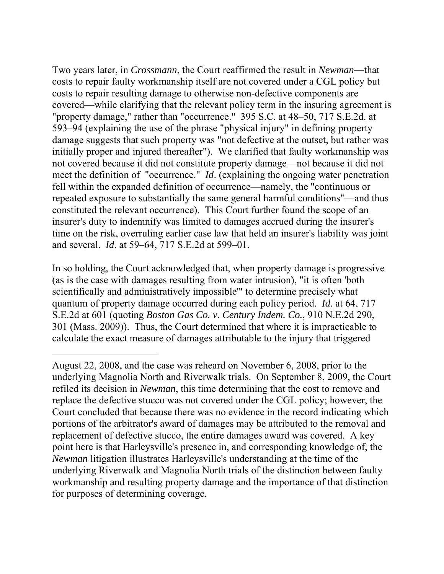meet the definition of "occurrence." *Id*. (explaining the ongoing water penetration Two years later, in *Crossmann*, the Court reaffirmed the result in *Newman*—that costs to repair faulty workmanship itself are not covered under a CGL policy but costs to repair resulting damage to otherwise non-defective components are covered—while clarifying that the relevant policy term in the insuring agreement is "property damage," rather than "occurrence." 395 S.C. at 48–50, 717 S.E.2d. at 593–94 (explaining the use of the phrase "physical injury" in defining property damage suggests that such property was "not defective at the outset, but rather was initially proper and injured thereafter"). We clarified that faulty workmanship was not covered because it did not constitute property damage—not because it did not fell within the expanded definition of occurrence—namely, the "continuous or repeated exposure to substantially the same general harmful conditions"—and thus constituted the relevant occurrence). This Court further found the scope of an insurer's duty to indemnify was limited to damages accrued during the insurer's time on the risk, overruling earlier case law that held an insurer's liability was joint and several. *Id*. at 59–64, 717 S.E.2d at 599–01.

In so holding, the Court acknowledged that, when property damage is progressive (as is the case with damages resulting from water intrusion), "it is often 'both scientifically and administratively impossible'" to determine precisely what quantum of property damage occurred during each policy period. *Id*. at 64, 717 S.E.2d at 601 (quoting *Boston Gas Co. v. Century Indem. Co.*, 910 N.E.2d 290, 301 (Mass. 2009)). Thus, the Court determined that where it is impracticable to calculate the exact measure of damages attributable to the injury that triggered

August 22, 2008, and the case was reheard on November 6, 2008, prior to the underlying Magnolia North and Riverwalk trials. On September 8, 2009, the Court refiled its decision in *Newman*, this time determining that the cost to remove and replace the defective stucco was not covered under the CGL policy; however, the Court concluded that because there was no evidence in the record indicating which portions of the arbitrator's award of damages may be attributed to the removal and replacement of defective stucco, the entire damages award was covered. A key point here is that Harleysville's presence in, and corresponding knowledge of, the *Newman* litigation illustrates Harleysville's understanding at the time of the underlying Riverwalk and Magnolia North trials of the distinction between faulty workmanship and resulting property damage and the importance of that distinction for purposes of determining coverage.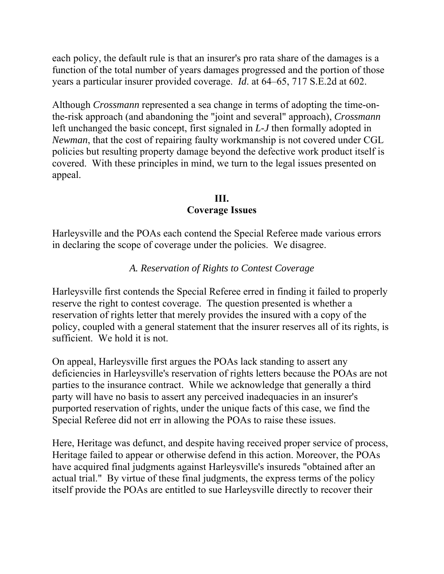each policy, the default rule is that an insurer's pro rata share of the damages is a function of the total number of years damages progressed and the portion of those years a particular insurer provided coverage. *Id*. at 64–65, 717 S.E.2d at 602.

Although *Crossmann* represented a sea change in terms of adopting the time-onthe-risk approach (and abandoning the "joint and several" approach), *Crossmann*  left unchanged the basic concept, first signaled in *L-J* then formally adopted in *Newman*, that the cost of repairing faulty workmanship is not covered under CGL policies but resulting property damage beyond the defective work product itself is covered. With these principles in mind, we turn to the legal issues presented on appeal.

# **III.**

# **Coverage Issues**

Harleysville and the POAs each contend the Special Referee made various errors in declaring the scope of coverage under the policies. We disagree.

# *A. Reservation of Rights to Contest Coverage*

Harleysville first contends the Special Referee erred in finding it failed to properly reserve the right to contest coverage. The question presented is whether a reservation of rights letter that merely provides the insured with a copy of the policy, coupled with a general statement that the insurer reserves all of its rights, is sufficient. We hold it is not.

On appeal, Harleysville first argues the POAs lack standing to assert any deficiencies in Harleysville's reservation of rights letters because the POAs are not parties to the insurance contract. While we acknowledge that generally a third party will have no basis to assert any perceived inadequacies in an insurer's purported reservation of rights, under the unique facts of this case, we find the Special Referee did not err in allowing the POAs to raise these issues.

Here, Heritage was defunct, and despite having received proper service of process, Heritage failed to appear or otherwise defend in this action. Moreover, the POAs have acquired final judgments against Harleysville's insureds "obtained after an actual trial." By virtue of these final judgments, the express terms of the policy itself provide the POAs are entitled to sue Harleysville directly to recover their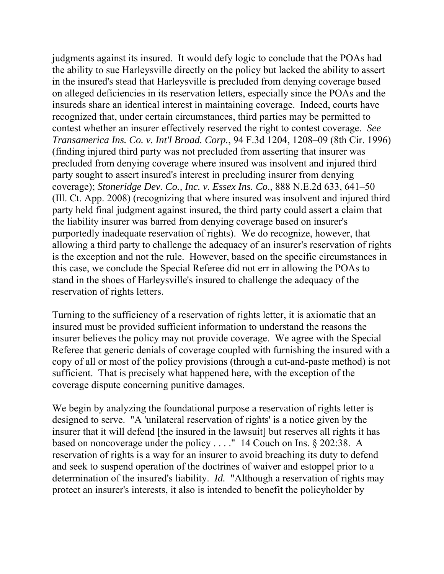the liability insurer was barred from denying coverage based on insurer's judgments against its insured. It would defy logic to conclude that the POAs had the ability to sue Harleysville directly on the policy but lacked the ability to assert in the insured's stead that Harleysville is precluded from denying coverage based on alleged deficiencies in its reservation letters, especially since the POAs and the insureds share an identical interest in maintaining coverage. Indeed, courts have recognized that, under certain circumstances, third parties may be permitted to contest whether an insurer effectively reserved the right to contest coverage. *See Transamerica Ins. Co. v. Int'l Broad. Corp.*, 94 F.3d 1204, 1208–09 (8th Cir. 1996) (finding injured third party was not precluded from asserting that insurer was precluded from denying coverage where insured was insolvent and injured third party sought to assert insured's interest in precluding insurer from denying coverage); *Stoneridge Dev. Co., Inc. v. Essex Ins. Co*., 888 N.E.2d 633, 641–50 (Ill. Ct. App. 2008) (recognizing that where insured was insolvent and injured third party held final judgment against insured, the third party could assert a claim that purportedly inadequate reservation of rights). We do recognize, however, that allowing a third party to challenge the adequacy of an insurer's reservation of rights is the exception and not the rule. However, based on the specific circumstances in this case, we conclude the Special Referee did not err in allowing the POAs to stand in the shoes of Harleysville's insured to challenge the adequacy of the reservation of rights letters.

Turning to the sufficiency of a reservation of rights letter, it is axiomatic that an insured must be provided sufficient information to understand the reasons the insurer believes the policy may not provide coverage. We agree with the Special Referee that generic denials of coverage coupled with furnishing the insured with a copy of all or most of the policy provisions (through a cut-and-paste method) is not sufficient. That is precisely what happened here, with the exception of the coverage dispute concerning punitive damages.

We begin by analyzing the foundational purpose a reservation of rights letter is designed to serve. "A 'unilateral reservation of rights' is a notice given by the insurer that it will defend [the insured in the lawsuit] but reserves all rights it has based on noncoverage under the policy . . . ." 14 Couch on Ins. § 202:38. A reservation of rights is a way for an insurer to avoid breaching its duty to defend and seek to suspend operation of the doctrines of waiver and estoppel prior to a determination of the insured's liability. *Id.* "Although a reservation of rights may protect an insurer's interests, it also is intended to benefit the policyholder by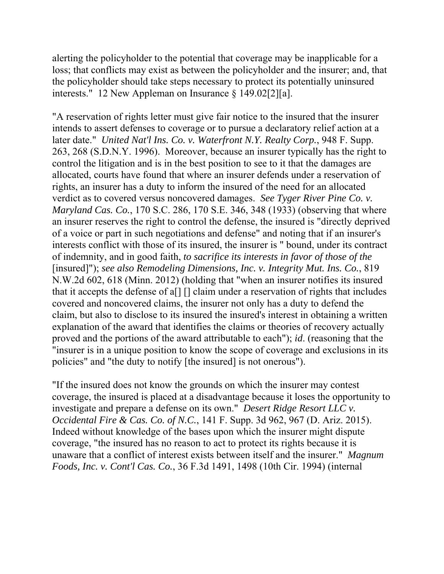alerting the policyholder to the potential that coverage may be inapplicable for a loss; that conflicts may exist as between the policyholder and the insurer; and, that the policyholder should take steps necessary to protect its potentially uninsured interests." 12 New Appleman on Insurance § 149.02[2][a].

 policies" and "the duty to notify [the insured] is not onerous"). "A reservation of rights letter must give fair notice to the insured that the insurer intends to assert defenses to coverage or to pursue a declaratory relief action at a later date." *United Nat'l Ins. Co. v. Waterfront N.Y. Realty Corp.*, 948 F. Supp. 263, 268 (S.D.N.Y. 1996). Moreover, because an insurer typically has the right to control the litigation and is in the best position to see to it that the damages are allocated, courts have found that where an insurer defends under a reservation of rights, an insurer has a duty to inform the insured of the need for an allocated verdict as to covered versus noncovered damages. *See Tyger River Pine Co. v. Maryland Cas. Co.*, 170 S.C. 286, 170 S.E. 346, 348 (1933) (observing that where an insurer reserves the right to control the defense, the insured is "directly deprived of a voice or part in such negotiations and defense" and noting that if an insurer's interests conflict with those of its insured, the insurer is " bound, under its contract of indemnity, and in good faith, *to sacrifice its interests in favor of those of the*  [insured]"); *see also Remodeling Dimensions, Inc. v. Integrity Mut. Ins. Co.*, 819 N.W.2d 602, 618 (Minn. 2012) (holding that "when an insurer notifies its insured that it accepts the defense of a[] [] claim under a reservation of rights that includes covered and noncovered claims, the insurer not only has a duty to defend the claim, but also to disclose to its insured the insured's interest in obtaining a written explanation of the award that identifies the claims or theories of recovery actually proved and the portions of the award attributable to each"); *id*. (reasoning that the "insurer is in a unique position to know the scope of coverage and exclusions in its

"If the insured does not know the grounds on which the insurer may contest coverage, the insured is placed at a disadvantage because it loses the opportunity to investigate and prepare a defense on its own." *Desert Ridge Resort LLC v. Occidental Fire & Cas. Co. of N.C.*, 141 F. Supp. 3d 962, 967 (D. Ariz. 2015). Indeed without knowledge of the bases upon which the insurer might dispute coverage, "the insured has no reason to act to protect its rights because it is unaware that a conflict of interest exists between itself and the insurer." *Magnum Foods, Inc. v. Cont'l Cas. Co.*, 36 F.3d 1491, 1498 (10th Cir. 1994) (internal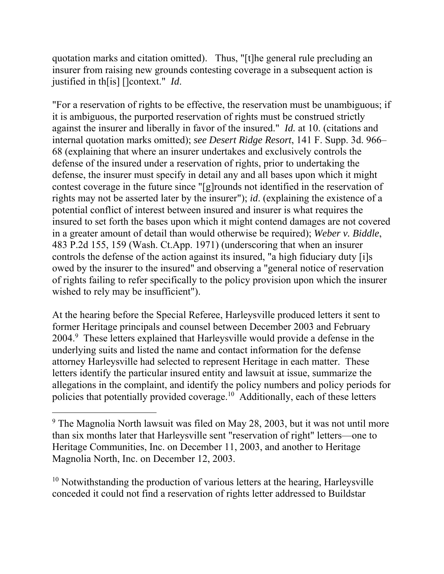quotation marks and citation omitted). Thus, "[t]he general rule precluding an insurer from raising new grounds contesting coverage in a subsequent action is justified in th[is] []context." *Id*.

"For a reservation of rights to be effective, the reservation must be unambiguous; if it is ambiguous, the purported reservation of rights must be construed strictly against the insurer and liberally in favor of the insured." *Id.* at 10. (citations and internal quotation marks omitted); *see Desert Ridge Resort*, 141 F. Supp. 3d. 966– 68 (explaining that where an insurer undertakes and exclusively controls the defense of the insured under a reservation of rights, prior to undertaking the defense, the insurer must specify in detail any and all bases upon which it might contest coverage in the future since "[g]rounds not identified in the reservation of rights may not be asserted later by the insurer"); *id*. (explaining the existence of a potential conflict of interest between insured and insurer is what requires the insured to set forth the bases upon which it might contend damages are not covered in a greater amount of detail than would otherwise be required); *Weber v. Biddle*, 483 P.2d 155, 159 (Wash. Ct.App. 1971) (underscoring that when an insurer controls the defense of the action against its insured, "a high fiduciary duty [i]s owed by the insurer to the insured" and observing a "general notice of reservation of rights failing to refer specifically to the policy provision upon which the insurer wished to rely may be insufficient").

At the hearing before the Special Referee, Harleysville produced letters it sent to former Heritage principals and counsel between December 2003 and February 2004.<sup>9</sup> These letters explained that Harleysville would provide a defense in the underlying suits and listed the name and contact information for the defense attorney Harleysville had selected to represent Heritage in each matter. These letters identify the particular insured entity and lawsuit at issue, summarize the allegations in the complaint, and identify the policy numbers and policy periods for policies that potentially provided coverage.10 Additionally, each of these letters

 $\overline{a}$ 

 $10$  Notwithstanding the production of various letters at the hearing, Harleysville conceded it could not find a reservation of rights letter addressed to Buildstar

<sup>&</sup>lt;sup>9</sup> The Magnolia North lawsuit was filed on May 28, 2003, but it was not until more than six months later that Harleysville sent "reservation of right" letters—one to Heritage Communities, Inc. on December 11, 2003, and another to Heritage Magnolia North, Inc. on December 12, 2003.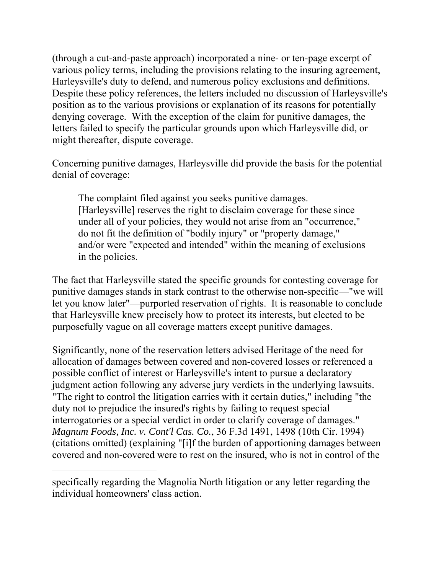(through a cut-and-paste approach) incorporated a nine- or ten-page excerpt of various policy terms, including the provisions relating to the insuring agreement, Harleysville's duty to defend, and numerous policy exclusions and definitions. Despite these policy references, the letters included no discussion of Harleysville's position as to the various provisions or explanation of its reasons for potentially denying coverage. With the exception of the claim for punitive damages, the letters failed to specify the particular grounds upon which Harleysville did, or might thereafter, dispute coverage.

Concerning punitive damages, Harleysville did provide the basis for the potential denial of coverage:

The complaint filed against you seeks punitive damages. [Harleysville] reserves the right to disclaim coverage for these since under all of your policies, they would not arise from an "occurrence," do not fit the definition of "bodily injury" or "property damage," and/or were "expected and intended" within the meaning of exclusions in the policies.

The fact that Harleysville stated the specific grounds for contesting coverage for punitive damages stands in stark contrast to the otherwise non-specific—"we will let you know later"—purported reservation of rights. It is reasonable to conclude that Harleysville knew precisely how to protect its interests, but elected to be purposefully vague on all coverage matters except punitive damages.

Significantly, none of the reservation letters advised Heritage of the need for allocation of damages between covered and non-covered losses or referenced a possible conflict of interest or Harleysville's intent to pursue a declaratory judgment action following any adverse jury verdicts in the underlying lawsuits. "The right to control the litigation carries with it certain duties," including "the duty not to prejudice the insured's rights by failing to request special interrogatories or a special verdict in order to clarify coverage of damages." *Magnum Foods, Inc. v. Cont'l Cas. Co.*, 36 F.3d 1491, 1498 (10th Cir. 1994) (citations omitted) (explaining "[i]f the burden of apportioning damages between covered and non-covered were to rest on the insured, who is not in control of the

specifically regarding the Magnolia North litigation or any letter regarding the individual homeowners' class action.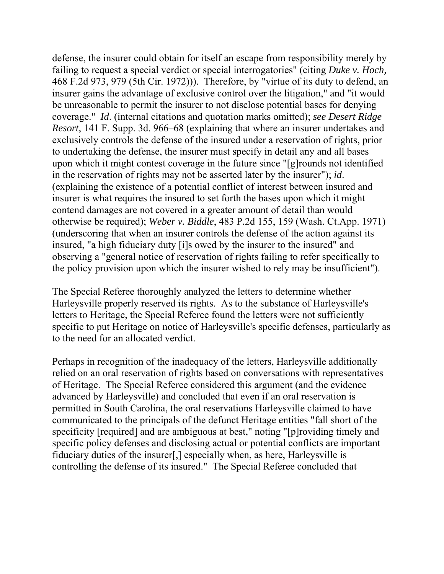defense, the insurer could obtain for itself an escape from responsibility merely by failing to request a special verdict or special interrogatories" (citing *Duke v. Hoch,*  468 F.2d 973, 979 (5th Cir. 1972))). Therefore, by "virtue of its duty to defend, an insurer gains the advantage of exclusive control over the litigation," and "it would be unreasonable to permit the insurer to not disclose potential bases for denying coverage." *Id*. (internal citations and quotation marks omitted); *see Desert Ridge Resort*, 141 F. Supp. 3d. 966–68 (explaining that where an insurer undertakes and exclusively controls the defense of the insured under a reservation of rights, prior to undertaking the defense, the insurer must specify in detail any and all bases upon which it might contest coverage in the future since "[g]rounds not identified in the reservation of rights may not be asserted later by the insurer"); *id*. (explaining the existence of a potential conflict of interest between insured and insurer is what requires the insured to set forth the bases upon which it might contend damages are not covered in a greater amount of detail than would otherwise be required); *Weber v. Biddle*, 483 P.2d 155, 159 (Wash. Ct.App. 1971) (underscoring that when an insurer controls the defense of the action against its insured, "a high fiduciary duty [i]s owed by the insurer to the insured" and observing a "general notice of reservation of rights failing to refer specifically to the policy provision upon which the insurer wished to rely may be insufficient").

The Special Referee thoroughly analyzed the letters to determine whether Harleysville properly reserved its rights. As to the substance of Harleysville's letters to Heritage, the Special Referee found the letters were not sufficiently specific to put Heritage on notice of Harleysville's specific defenses, particularly as to the need for an allocated verdict.

Perhaps in recognition of the inadequacy of the letters, Harleysville additionally relied on an oral reservation of rights based on conversations with representatives of Heritage. The Special Referee considered this argument (and the evidence advanced by Harleysville) and concluded that even if an oral reservation is permitted in South Carolina, the oral reservations Harleysville claimed to have communicated to the principals of the defunct Heritage entities "fall short of the specificity [required] and are ambiguous at best," noting "[p]roviding timely and specific policy defenses and disclosing actual or potential conflicts are important fiduciary duties of the insurer[,] especially when, as here, Harleysville is controlling the defense of its insured." The Special Referee concluded that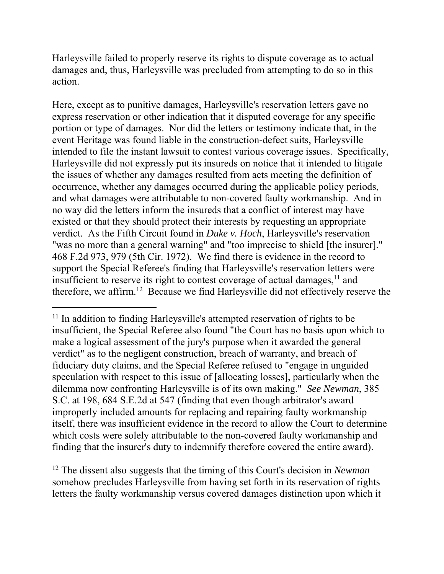Harleysville failed to properly reserve its rights to dispute coverage as to actual damages and, thus, Harleysville was precluded from attempting to do so in this action.

Here, except as to punitive damages, Harleysville's reservation letters gave no express reservation or other indication that it disputed coverage for any specific portion or type of damages. Nor did the letters or testimony indicate that, in the event Heritage was found liable in the construction-defect suits, Harleysville intended to file the instant lawsuit to contest various coverage issues. Specifically, Harleysville did not expressly put its insureds on notice that it intended to litigate the issues of whether any damages resulted from acts meeting the definition of occurrence, whether any damages occurred during the applicable policy periods, and what damages were attributable to non-covered faulty workmanship. And in no way did the letters inform the insureds that a conflict of interest may have existed or that they should protect their interests by requesting an appropriate verdict. As the Fifth Circuit found in *Duke v. Hoch*, Harleysville's reservation "was no more than a general warning" and "too imprecise to shield [the insurer]." 468 F.2d 973, 979 (5th Cir. 1972). We find there is evidence in the record to support the Special Referee's finding that Harleysville's reservation letters were insufficient to reserve its right to contest coverage of actual damages,  $11$  and therefore, we affirm.12 Because we find Harleysville did not effectively reserve the

 $\overline{a}$ 

12 The dissent also suggests that the timing of this Court's decision in *Newman*  somehow precludes Harleysville from having set forth in its reservation of rights letters the faulty workmanship versus covered damages distinction upon which it

<sup>&</sup>lt;sup>11</sup> In addition to finding Harleysville's attempted reservation of rights to be insufficient, the Special Referee also found "the Court has no basis upon which to make a logical assessment of the jury's purpose when it awarded the general verdict" as to the negligent construction, breach of warranty, and breach of fiduciary duty claims, and the Special Referee refused to "engage in unguided speculation with respect to this issue of [allocating losses], particularly when the dilemma now confronting Harleysville is of its own making." *See Newman*, 385 S.C. at 198, 684 S.E.2d at 547 (finding that even though arbitrator's award improperly included amounts for replacing and repairing faulty workmanship itself, there was insufficient evidence in the record to allow the Court to determine which costs were solely attributable to the non-covered faulty workmanship and finding that the insurer's duty to indemnify therefore covered the entire award).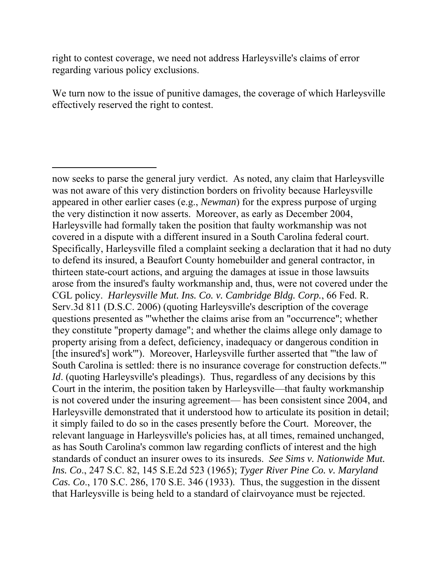right to contest coverage, we need not address Harleysville's claims of error regarding various policy exclusions.

 $\overline{a}$ 

We turn now to the issue of punitive damages, the coverage of which Harleysville effectively reserved the right to contest.

 South Carolina is settled: there is no insurance coverage for construction defects.'" standards of conduct an insurer owes to its insureds. *See Sims v. Nationwide Mut.*  now seeks to parse the general jury verdict. As noted, any claim that Harleysville was not aware of this very distinction borders on frivolity because Harleysville appeared in other earlier cases (e.g., *Newman*) for the express purpose of urging the very distinction it now asserts. Moreover, as early as December 2004, Harleysville had formally taken the position that faulty workmanship was not covered in a dispute with a different insured in a South Carolina federal court. Specifically, Harleysville filed a complaint seeking a declaration that it had no duty to defend its insured, a Beaufort County homebuilder and general contractor, in thirteen state-court actions, and arguing the damages at issue in those lawsuits arose from the insured's faulty workmanship and, thus, were not covered under the CGL policy. *Harleysville Mut. Ins. Co. v. Cambridge Bldg. Corp.*, 66 Fed. R. Serv.3d 811 (D.S.C. 2006) (quoting Harleysville's description of the coverage questions presented as "'whether the claims arise from an "occurrence"; whether they constitute "property damage"; and whether the claims allege only damage to property arising from a defect, deficiency, inadequacy or dangerous condition in [the insured's] work'"). Moreover, Harleysville further asserted that "'the law of *Id.* (quoting Harleysville's pleadings). Thus, regardless of any decisions by this Court in the interim, the position taken by Harleysville—that faulty workmanship is not covered under the insuring agreement— has been consistent since 2004, and Harleysville demonstrated that it understood how to articulate its position in detail; it simply failed to do so in the cases presently before the Court. Moreover, the relevant language in Harleysville's policies has, at all times, remained unchanged, as has South Carolina's common law regarding conflicts of interest and the high *Ins. Co*., 247 S.C. 82, 145 S.E.2d 523 (1965); *Tyger River Pine Co. v. Maryland Cas. Co*., 170 S.C. 286, 170 S.E. 346 (1933). Thus, the suggestion in the dissent that Harleysville is being held to a standard of clairvoyance must be rejected.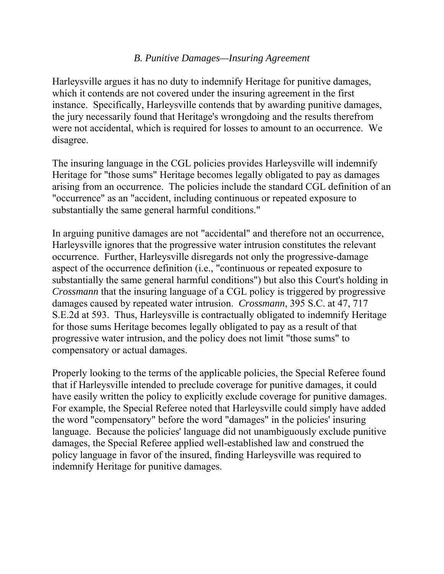#### *B. Punitive Damages—Insuring Agreement*

Harleysville argues it has no duty to indemnify Heritage for punitive damages, which it contends are not covered under the insuring agreement in the first instance. Specifically, Harleysville contends that by awarding punitive damages, the jury necessarily found that Heritage's wrongdoing and the results therefrom were not accidental, which is required for losses to amount to an occurrence. We disagree.

The insuring language in the CGL policies provides Harleysville will indemnify Heritage for "those sums" Heritage becomes legally obligated to pay as damages arising from an occurrence. The policies include the standard CGL definition of an "occurrence" as an "accident, including continuous or repeated exposure to substantially the same general harmful conditions."

 compensatory or actual damages. In arguing punitive damages are not "accidental" and therefore not an occurrence, Harleysville ignores that the progressive water intrusion constitutes the relevant occurrence. Further, Harleysville disregards not only the progressive-damage aspect of the occurrence definition (i.e., "continuous or repeated exposure to substantially the same general harmful conditions") but also this Court's holding in *Crossmann* that the insuring language of a CGL policy is triggered by progressive damages caused by repeated water intrusion. *Crossmann*, 395 S.C. at 47, 717 S.E.2d at 593. Thus, Harleysville is contractually obligated to indemnify Heritage for those sums Heritage becomes legally obligated to pay as a result of that progressive water intrusion, and the policy does not limit "those sums" to

Properly looking to the terms of the applicable policies, the Special Referee found that if Harleysville intended to preclude coverage for punitive damages, it could have easily written the policy to explicitly exclude coverage for punitive damages. For example, the Special Referee noted that Harleysville could simply have added the word "compensatory" before the word "damages" in the policies' insuring language. Because the policies' language did not unambiguously exclude punitive damages, the Special Referee applied well-established law and construed the policy language in favor of the insured, finding Harleysville was required to indemnify Heritage for punitive damages.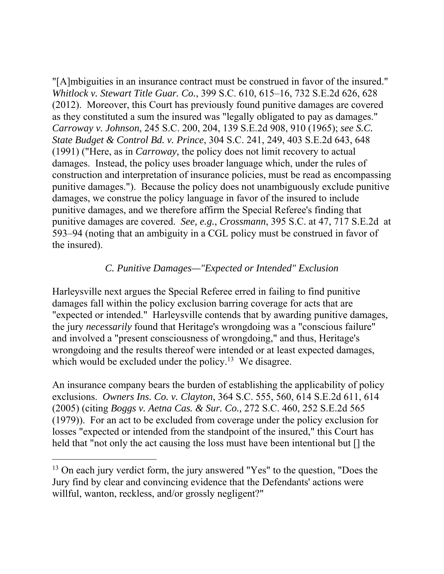"[A]mbiguities in an insurance contract must be construed in favor of the insured." *Whitlock v. Stewart Title Guar. Co.*, 399 S.C. 610, 615–16, 732 S.E.2d 626, 628 (2012). Moreover, this Court has previously found punitive damages are covered as they constituted a sum the insured was "legally obligated to pay as damages." *Carroway v. Johnson*, 245 S.C. 200, 204, 139 S.E.2d 908, 910 (1965); *see S.C. State Budget & Control Bd. v. Prince*, 304 S.C. 241, 249, 403 S.E.2d 643, 648 (1991) ("Here, as in *Carroway,* the policy does not limit recovery to actual damages. Instead, the policy uses broader language which, under the rules of construction and interpretation of insurance policies, must be read as encompassing punitive damages."). Because the policy does not unambiguously exclude punitive damages, we construe the policy language in favor of the insured to include punitive damages, and we therefore affirm the Special Referee's finding that punitive damages are covered. *See, e.g.*, *Crossmann*, 395 S.C. at 47, 717 S.E.2d at 593–94 (noting that an ambiguity in a CGL policy must be construed in favor of the insured).

## *C. Punitive Damages—"Expected or Intended" Exclusion*

Harleysville next argues the Special Referee erred in failing to find punitive damages fall within the policy exclusion barring coverage for acts that are "expected or intended." Harleysville contends that by awarding punitive damages, the jury *necessarily* found that Heritage's wrongdoing was a "conscious failure" and involved a "present consciousness of wrongdoing," and thus, Heritage's wrongdoing and the results thereof were intended or at least expected damages, which would be excluded under the policy.<sup>13</sup> We disagree.

An insurance company bears the burden of establishing the applicability of policy exclusions. *Owners Ins. Co. v. Clayton*, 364 S.C. 555, 560, 614 S.E.2d 611, 614 (2005) (citing *Boggs v. Aetna Cas. & Sur. Co.,* 272 S.C. 460, 252 S.E.2d 565 (1979)). For an act to be excluded from coverage under the policy exclusion for losses "expected or intended from the standpoint of the insured," this Court has held that "not only the act causing the loss must have been intentional but  $\left[\right]$  the

 $13$  On each jury verdict form, the jury answered "Yes" to the question, "Does the Jury find by clear and convincing evidence that the Defendants' actions were willful, wanton, reckless, and/or grossly negligent?"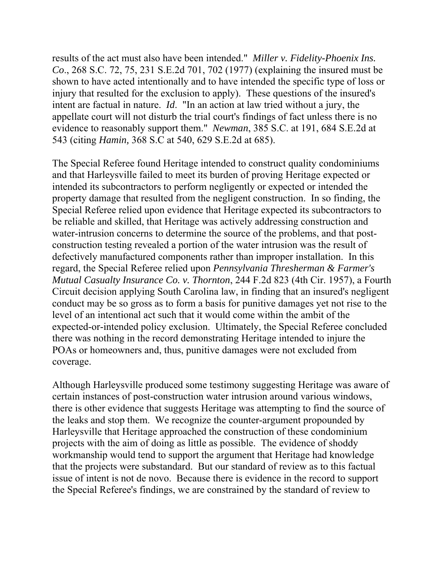results of the act must also have been intended." *Miller v. Fidelity-Phoenix Ins. Co*., 268 S.C. 72, 75, 231 S.E.2d 701, 702 (1977) (explaining the insured must be shown to have acted intentionally and to have intended the specific type of loss or injury that resulted for the exclusion to apply). These questions of the insured's intent are factual in nature. *Id*. "In an action at law tried without a jury, the appellate court will not disturb the trial court's findings of fact unless there is no evidence to reasonably support them." *Newman*, 385 S.C. at 191, 684 S.E.2d at 543 (citing *Hamin,* 368 S.C at 540, 629 S.E.2d at 685).

The Special Referee found Heritage intended to construct quality condominiums and that Harleysville failed to meet its burden of proving Heritage expected or intended its subcontractors to perform negligently or expected or intended the property damage that resulted from the negligent construction. In so finding, the Special Referee relied upon evidence that Heritage expected its subcontractors to be reliable and skilled, that Heritage was actively addressing construction and water-intrusion concerns to determine the source of the problems, and that postconstruction testing revealed a portion of the water intrusion was the result of defectively manufactured components rather than improper installation. In this regard, the Special Referee relied upon *Pennsylvania Thresherman & Farmer's Mutual Casualty Insurance Co. v. Thornton*, 244 F.2d 823 (4th Cir. 1957), a Fourth Circuit decision applying South Carolina law, in finding that an insured's negligent conduct may be so gross as to form a basis for punitive damages yet not rise to the level of an intentional act such that it would come within the ambit of the expected-or-intended policy exclusion. Ultimately, the Special Referee concluded there was nothing in the record demonstrating Heritage intended to injure the POAs or homeowners and, thus, punitive damages were not excluded from coverage.

Although Harleysville produced some testimony suggesting Heritage was aware of certain instances of post-construction water intrusion around various windows, there is other evidence that suggests Heritage was attempting to find the source of the leaks and stop them. We recognize the counter-argument propounded by Harleysville that Heritage approached the construction of these condominium projects with the aim of doing as little as possible. The evidence of shoddy workmanship would tend to support the argument that Heritage had knowledge that the projects were substandard. But our standard of review as to this factual issue of intent is not de novo. Because there is evidence in the record to support the Special Referee's findings, we are constrained by the standard of review to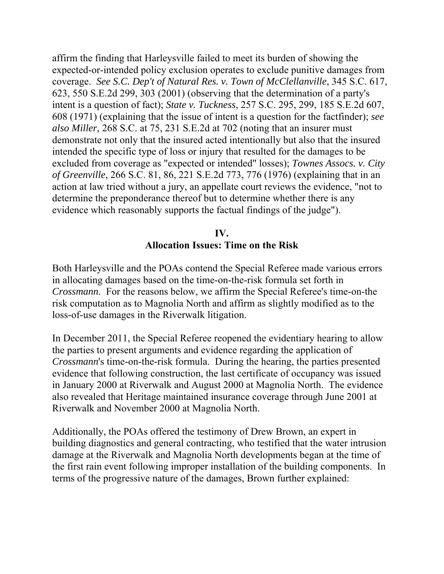affirm the finding that Harleysville failed to meet its burden of showing the expected-or-intended policy exclusion operates to exclude punitive damages from coverage. *See S.C. Dep't of Natural Res. v. Town of McClellanville*, 345 S.C. 617, 623, 550 S.E.2d 299, 303 (2001) (observing that the determination of a party's intent is a question of fact); *State v. Tuckness*, 257 S.C. 295, 299, 185 S.E.2d 607, 608 (1971) (explaining that the issue of intent is a question for the factfinder); *see also Miller*, 268 S.C. at 75, 231 S.E.2d at 702 (noting that an insurer must demonstrate not only that the insured acted intentionally but also that the insured intended the specific type of loss or injury that resulted for the damages to be excluded from coverage as "expected or intended" losses); *Townes Assocs. v. City of Greenville*, 266 S.C. 81, 86, 221 S.E.2d 773, 776 (1976) (explaining that in an action at law tried without a jury, an appellate court reviews the evidence, "not to determine the preponderance thereof but to determine whether there is any evidence which reasonably supports the factual findings of the judge").

# **IV. Allocation Issues: Time on the Risk**

Both Harleysville and the POAs contend the Special Referee made various errors in allocating damages based on the time-on-the-risk formula set forth in *Crossmann*. For the reasons below, we affirm the Special Referee's time-on-the risk computation as to Magnolia North and affirm as slightly modified as to the loss-of-use damages in the Riverwalk litigation.

In December 2011, the Special Referee reopened the evidentiary hearing to allow the parties to present arguments and evidence regarding the application of *Crossmann*'s time-on-the-risk formula. During the hearing, the parties presented evidence that following construction, the last certificate of occupancy was issued in January 2000 at Riverwalk and August 2000 at Magnolia North. The evidence also revealed that Heritage maintained insurance coverage through June 2001 at Riverwalk and November 2000 at Magnolia North.

Additionally, the POAs offered the testimony of Drew Brown, an expert in building diagnostics and general contracting, who testified that the water intrusion damage at the Riverwalk and Magnolia North developments began at the time of the first rain event following improper installation of the building components. In terms of the progressive nature of the damages, Brown further explained: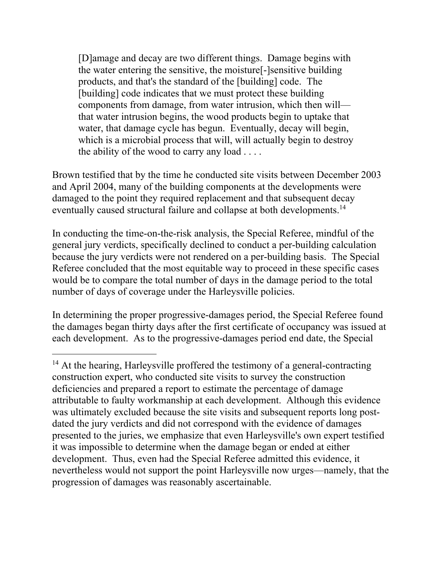[D]amage and decay are two different things. Damage begins with the water entering the sensitive, the moisture[-]sensitive building products, and that's the standard of the [building] code. The [building] code indicates that we must protect these building components from damage, from water intrusion, which then will that water intrusion begins, the wood products begin to uptake that water, that damage cycle has begun. Eventually, decay will begin, which is a microbial process that will, will actually begin to destroy the ability of the wood to carry any load  $\dots$ 

eventually caused structural failure and collapse at both developments.<sup>14</sup> Brown testified that by the time he conducted site visits between December 2003 and April 2004, many of the building components at the developments were damaged to the point they required replacement and that subsequent decay

In conducting the time-on-the-risk analysis, the Special Referee, mindful of the general jury verdicts, specifically declined to conduct a per-building calculation because the jury verdicts were not rendered on a per-building basis. The Special Referee concluded that the most equitable way to proceed in these specific cases would be to compare the total number of days in the damage period to the total number of days of coverage under the Harleysville policies.

In determining the proper progressive-damages period, the Special Referee found the damages began thirty days after the first certificate of occupancy was issued at each development. As to the progressive-damages period end date, the Special

<sup>&</sup>lt;sup>14</sup> At the hearing, Harleysville proffered the testimony of a general-contracting construction expert, who conducted site visits to survey the construction deficiencies and prepared a report to estimate the percentage of damage attributable to faulty workmanship at each development. Although this evidence was ultimately excluded because the site visits and subsequent reports long postdated the jury verdicts and did not correspond with the evidence of damages presented to the juries, we emphasize that even Harleysville's own expert testified it was impossible to determine when the damage began or ended at either development. Thus, even had the Special Referee admitted this evidence, it nevertheless would not support the point Harleysville now urges—namely, that the progression of damages was reasonably ascertainable.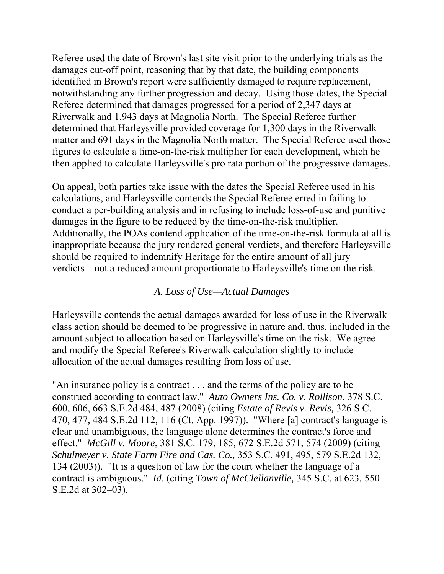Referee used the date of Brown's last site visit prior to the underlying trials as the damages cut-off point, reasoning that by that date, the building components identified in Brown's report were sufficiently damaged to require replacement, notwithstanding any further progression and decay. Using those dates, the Special Referee determined that damages progressed for a period of 2,347 days at Riverwalk and 1,943 days at Magnolia North. The Special Referee further determined that Harleysville provided coverage for 1,300 days in the Riverwalk matter and 691 days in the Magnolia North matter. The Special Referee used those figures to calculate a time-on-the-risk multiplier for each development, which he then applied to calculate Harleysville's pro rata portion of the progressive damages.

On appeal, both parties take issue with the dates the Special Referee used in his calculations, and Harleysville contends the Special Referee erred in failing to conduct a per-building analysis and in refusing to include loss-of-use and punitive damages in the figure to be reduced by the time-on-the-risk multiplier. Additionally, the POAs contend application of the time-on-the-risk formula at all is inappropriate because the jury rendered general verdicts, and therefore Harleysville should be required to indemnify Heritage for the entire amount of all jury verdicts—not a reduced amount proportionate to Harleysville's time on the risk.

## *A. Loss of Use—Actual Damages*

Harleysville contends the actual damages awarded for loss of use in the Riverwalk class action should be deemed to be progressive in nature and, thus, included in the amount subject to allocation based on Harleysville's time on the risk. We agree and modify the Special Referee's Riverwalk calculation slightly to include allocation of the actual damages resulting from loss of use.

 effect." *McGill v. Moore*, 381 S.C. 179, 185, 672 S.E.2d 571, 574 (2009) (citing "An insurance policy is a contract . . . and the terms of the policy are to be construed according to contract law." *Auto Owners Ins. Co. v. Rollison*, 378 S.C. 600, 606, 663 S.E.2d 484, 487 (2008) (citing *Estate of Revis v. Revis,* 326 S.C. 470, 477, 484 S.E.2d 112, 116 (Ct. App. 1997)). "Where [a] contract's language is clear and unambiguous, the language alone determines the contract's force and *Schulmeyer v. State Farm Fire and Cas. Co.,* 353 S.C. 491, 495, 579 S.E.2d 132, 134 (2003)). "It is a question of law for the court whether the language of a contract is ambiguous." *Id*. (citing *Town of McClellanville,* 345 S.C. at 623, 550 S.E.2d at 302–03).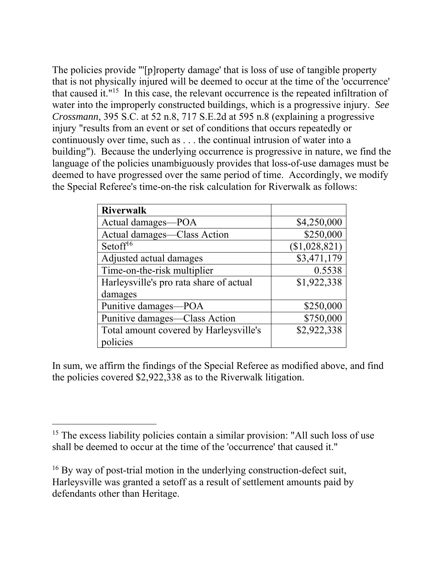The policies provide "'[p]roperty damage' that is loss of use of tangible property that is not physically injured will be deemed to occur at the time of the 'occurrence' that caused it."15 In this case, the relevant occurrence is the repeated infiltration of water into the improperly constructed buildings, which is a progressive injury. *See Crossmann*, 395 S.C. at 52 n.8, 717 S.E.2d at 595 n.8 (explaining a progressive injury "results from an event or set of conditions that occurs repeatedly or continuously over time, such as . . . the continual intrusion of water into a building"). Because the underlying occurrence is progressive in nature, we find the language of the policies unambiguously provides that loss-of-use damages must be deemed to have progressed over the same period of time. Accordingly, we modify the Special Referee's time-on-the risk calculation for Riverwalk as follows:

| <b>Riverwalk</b>                        |               |
|-----------------------------------------|---------------|
| Actual damages-POA                      | \$4,250,000   |
| Actual damages—Class Action             | \$250,000     |
| Setoff <sup>16</sup>                    | (\$1,028,821) |
| Adjusted actual damages                 | \$3,471,179   |
| Time-on-the-risk multiplier             | 0.5538        |
| Harleysville's pro rata share of actual | \$1,922,338   |
| damages                                 |               |
| Punitive damages-POA                    | \$250,000     |
| Punitive damages—Class Action           | \$750,000     |
| Total amount covered by Harleysville's  | \$2,922,338   |
| policies                                |               |

In sum, we affirm the findings of the Special Referee as modified above, and find the policies covered \$2,922,338 as to the Riverwalk litigation.

<sup>&</sup>lt;sup>15</sup> The excess liability policies contain a similar provision: "All such loss of use shall be deemed to occur at the time of the 'occurrence' that caused it."

<sup>&</sup>lt;sup>16</sup> By way of post-trial motion in the underlying construction-defect suit, Harleysville was granted a setoff as a result of settlement amounts paid by defendants other than Heritage.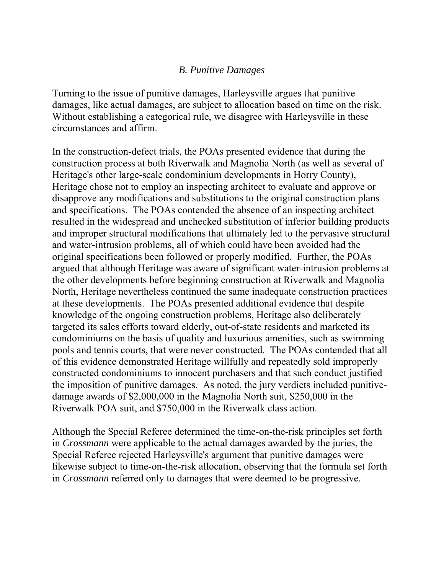## *B. Punitive Damages*

Turning to the issue of punitive damages, Harleysville argues that punitive damages, like actual damages, are subject to allocation based on time on the risk. Without establishing a categorical rule, we disagree with Harleysville in these circumstances and affirm.

 Riverwalk POA suit, and \$750,000 in the Riverwalk class action. In the construction-defect trials, the POAs presented evidence that during the construction process at both Riverwalk and Magnolia North (as well as several of Heritage's other large-scale condominium developments in Horry County), Heritage chose not to employ an inspecting architect to evaluate and approve or disapprove any modifications and substitutions to the original construction plans and specifications. The POAs contended the absence of an inspecting architect resulted in the widespread and unchecked substitution of inferior building products and improper structural modifications that ultimately led to the pervasive structural and water-intrusion problems, all of which could have been avoided had the original specifications been followed or properly modified. Further, the POAs argued that although Heritage was aware of significant water-intrusion problems at the other developments before beginning construction at Riverwalk and Magnolia North, Heritage nevertheless continued the same inadequate construction practices at these developments. The POAs presented additional evidence that despite knowledge of the ongoing construction problems, Heritage also deliberately targeted its sales efforts toward elderly, out-of-state residents and marketed its condominiums on the basis of quality and luxurious amenities, such as swimming pools and tennis courts, that were never constructed. The POAs contended that all of this evidence demonstrated Heritage willfully and repeatedly sold improperly constructed condominiums to innocent purchasers and that such conduct justified the imposition of punitive damages. As noted, the jury verdicts included punitivedamage awards of \$2,000,000 in the Magnolia North suit, \$250,000 in the

Although the Special Referee determined the time-on-the-risk principles set forth in *Crossmann* were applicable to the actual damages awarded by the juries, the Special Referee rejected Harleysville's argument that punitive damages were likewise subject to time-on-the-risk allocation, observing that the formula set forth in *Crossmann* referred only to damages that were deemed to be progressive.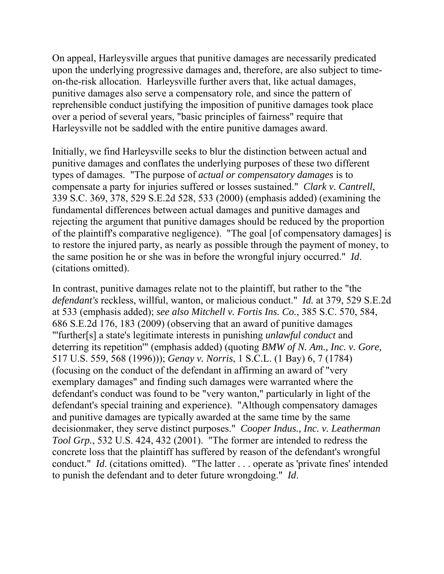On appeal, Harleysville argues that punitive damages are necessarily predicated upon the underlying progressive damages and, therefore, are also subject to timeon-the-risk allocation. Harleysville further avers that, like actual damages, punitive damages also serve a compensatory role, and since the pattern of reprehensible conduct justifying the imposition of punitive damages took place over a period of several years, "basic principles of fairness" require that Harleysville not be saddled with the entire punitive damages award.

Initially, we find Harleysville seeks to blur the distinction between actual and punitive damages and conflates the underlying purposes of these two different types of damages. "The purpose of *actual or compensatory damages* is to compensate a party for injuries suffered or losses sustained." *Clark v. Cantrell*, 339 S.C. 369, 378, 529 S.E.2d 528, 533 (2000) (emphasis added) (examining the fundamental differences between actual damages and punitive damages and rejecting the argument that punitive damages should be reduced by the proportion of the plaintiff's comparative negligence). "The goal [of compensatory damages] is to restore the injured party, as nearly as possible through the payment of money, to the same position he or she was in before the wrongful injury occurred." *Id*. (citations omitted).

 deterring its repetition'" (emphasis added) (quoting *BMW of N. Am., Inc. v. Gore,*  In contrast, punitive damages relate not to the plaintiff, but rather to the "the *defendant's* reckless, willful, wanton, or malicious conduct." *Id.* at 379, 529 S.E.2d at 533 (emphasis added); *see also Mitchell v. Fortis Ins. Co.*, 385 S.C. 570, 584, 686 S.E.2d 176, 183 (2009) (observing that an award of punitive damages "'further[s] a state's legitimate interests in punishing *unlawful conduct* and 517 U.S. 559, 568 (1996))); *Genay v. Norris*, 1 S.C.L. (1 Bay) 6, 7 (1784) (focusing on the conduct of the defendant in affirming an award of "very exemplary damages" and finding such damages were warranted where the defendant's conduct was found to be "very wanton," particularly in light of the defendant's special training and experience). "Although compensatory damages and punitive damages are typically awarded at the same time by the same decisionmaker, they serve distinct purposes." *Cooper Indus., Inc. v. Leatherman Tool Grp.*, 532 U.S. 424, 432 (2001). "The former are intended to redress the concrete loss that the plaintiff has suffered by reason of the defendant's wrongful conduct." *Id*. (citations omitted). "The latter . . . operate as 'private fines' intended to punish the defendant and to deter future wrongdoing." *Id*.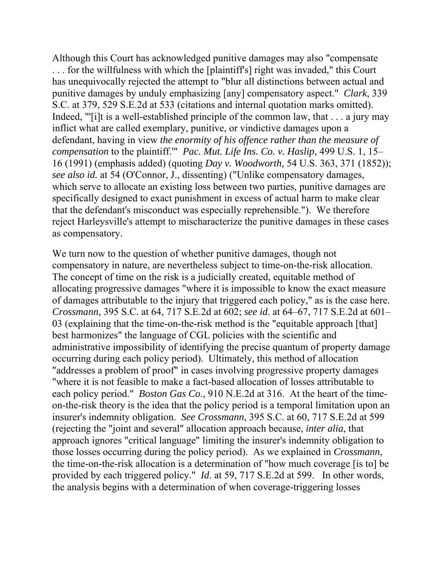*compensation* to the plaintiff.'" *Pac. Mut. Life Ins. Co. v. Haslip*, 499 U.S. 1, 15– Although this Court has acknowledged punitive damages may also "compensate . . . for the willfulness with which the [plaintiff's] right was invaded," this Court has unequivocally rejected the attempt to "blur all distinctions between actual and punitive damages by unduly emphasizing [any] compensatory aspect." *Clark*, 339 S.C. at 379, 529 S.E.2d at 533 (citations and internal quotation marks omitted). Indeed, "[i]t is a well-established principle of the common law, that . . . a jury may inflict what are called exemplary, punitive, or vindictive damages upon a defendant, having in view *the enormity of his offence rather than the measure of*  16 (1991) (emphasis added) (quoting *Day v. Woodworth,* 54 U.S. 363, 371 (1852)); *see also id.* at 54 (O'Connor, J., dissenting) ("Unlike compensatory damages, which serve to allocate an existing loss between two parties, punitive damages are specifically designed to exact punishment in excess of actual harm to make clear that the defendant's misconduct was especially reprehensible."). We therefore reject Harleysville's attempt to mischaracterize the punitive damages in these cases as compensatory.

We turn now to the question of whether punitive damages, though not compensatory in nature, are nevertheless subject to time-on-the-risk allocation. The concept of time on the risk is a judicially created, equitable method of allocating progressive damages "where it is impossible to know the exact measure of damages attributable to the injury that triggered each policy," as is the case here. *Crossmann*, 395 S.C. at 64, 717 S.E.2d at 602; *see id*. at 64–67, 717 S.E.2d at 601– 03 (explaining that the time-on-the-risk method is the "equitable approach [that] best harmonizes" the language of CGL policies with the scientific and administrative impossibility of identifying the precise quantum of property damage occurring during each policy period). Ultimately, this method of allocation "addresses a problem of proof" in cases involving progressive property damages "where it is not feasible to make a fact-based allocation of losses attributable to each policy period." *Boston Gas Co*., 910 N.E.2d at 316. At the heart of the timeon-the-risk theory is the idea that the policy period is a temporal limitation upon an insurer's indemnity obligation. *See Crossmann*, 395 S.C. at 60, 717 S.E.2d at 599 (rejecting the "joint and several" allocation approach because, *inter alia*, that approach ignores "critical language" limiting the insurer's indemnity obligation to those losses occurring during the policy period). As we explained in *Crossmann*, the time-on-the-risk allocation is a determination of "how much coverage [is to] be provided by each triggered policy." *Id*. at 59, 717 S.E.2d at 599. In other words, the analysis begins with a determination of when coverage-triggering losses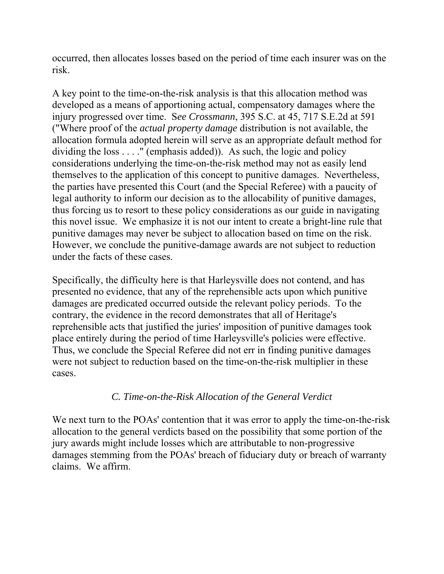occurred, then allocates losses based on the period of time each insurer was on the risk.

A key point to the time-on-the-risk analysis is that this allocation method was developed as a means of apportioning actual, compensatory damages where the injury progressed over time. S*ee Crossmann*, 395 S.C. at 45, 717 S.E.2d at 591 ("Where proof of the *actual property damage* distribution is not available, the allocation formula adopted herein will serve as an appropriate default method for dividing the loss  $\dots$ ." (emphasis added)). As such, the logic and policy considerations underlying the time-on-the-risk method may not as easily lend themselves to the application of this concept to punitive damages. Nevertheless, the parties have presented this Court (and the Special Referee) with a paucity of legal authority to inform our decision as to the allocability of punitive damages, thus forcing us to resort to these policy considerations as our guide in navigating this novel issue. We emphasize it is not our intent to create a bright-line rule that punitive damages may never be subject to allocation based on time on the risk. However, we conclude the punitive-damage awards are not subject to reduction under the facts of these cases.

Specifically, the difficulty here is that Harleysville does not contend, and has presented no evidence, that any of the reprehensible acts upon which punitive damages are predicated occurred outside the relevant policy periods. To the contrary, the evidence in the record demonstrates that all of Heritage's reprehensible acts that justified the juries' imposition of punitive damages took place entirely during the period of time Harleysville's policies were effective. Thus, we conclude the Special Referee did not err in finding punitive damages were not subject to reduction based on the time-on-the-risk multiplier in these cases.

# *C. Time-on-the-Risk Allocation of the General Verdict*

We next turn to the POAs' contention that it was error to apply the time-on-the-risk allocation to the general verdicts based on the possibility that some portion of the jury awards might include losses which are attributable to non-progressive damages stemming from the POAs' breach of fiduciary duty or breach of warranty claims. We affirm.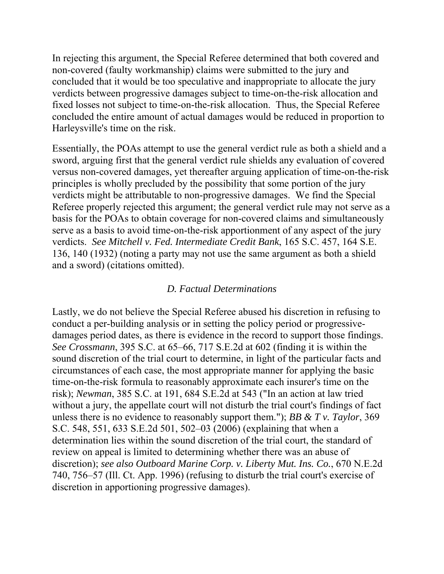In rejecting this argument, the Special Referee determined that both covered and non-covered (faulty workmanship) claims were submitted to the jury and concluded that it would be too speculative and inappropriate to allocate the jury verdicts between progressive damages subject to time-on-the-risk allocation and fixed losses not subject to time-on-the-risk allocation. Thus, the Special Referee concluded the entire amount of actual damages would be reduced in proportion to Harleysville's time on the risk.

Essentially, the POAs attempt to use the general verdict rule as both a shield and a sword, arguing first that the general verdict rule shields any evaluation of covered versus non-covered damages, yet thereafter arguing application of time-on-the-risk principles is wholly precluded by the possibility that some portion of the jury verdicts might be attributable to non-progressive damages. We find the Special Referee properly rejected this argument; the general verdict rule may not serve as a basis for the POAs to obtain coverage for non-covered claims and simultaneously serve as a basis to avoid time-on-the-risk apportionment of any aspect of the jury verdicts. *See Mitchell v. Fed. Intermediate Credit Bank*, 165 S.C. 457, 164 S.E. 136, 140 (1932) (noting a party may not use the same argument as both a shield and a sword) (citations omitted).

## *D. Factual Determinations*

Lastly, we do not believe the Special Referee abused his discretion in refusing to conduct a per-building analysis or in setting the policy period or progressivedamages period dates, as there is evidence in the record to support those findings. *See Crossmann*, 395 S.C. at 65–66, 717 S.E.2d at 602 (finding it is within the sound discretion of the trial court to determine, in light of the particular facts and circumstances of each case, the most appropriate manner for applying the basic time-on-the-risk formula to reasonably approximate each insurer's time on the risk); *Newman*, 385 S.C. at 191, 684 S.E.2d at 543 ("In an action at law tried without a jury, the appellate court will not disturb the trial court's findings of fact unless there is no evidence to reasonably support them."); *BB & T v. Taylor*, 369 S.C. 548, 551, 633 S.E.2d 501, 502–03 (2006) (explaining that when a determination lies within the sound discretion of the trial court, the standard of review on appeal is limited to determining whether there was an abuse of discretion); *see also Outboard Marine Corp. v. Liberty Mut. Ins. Co.*, 670 N.E.2d 740, 756–57 (Ill. Ct. App. 1996) (refusing to disturb the trial court's exercise of discretion in apportioning progressive damages).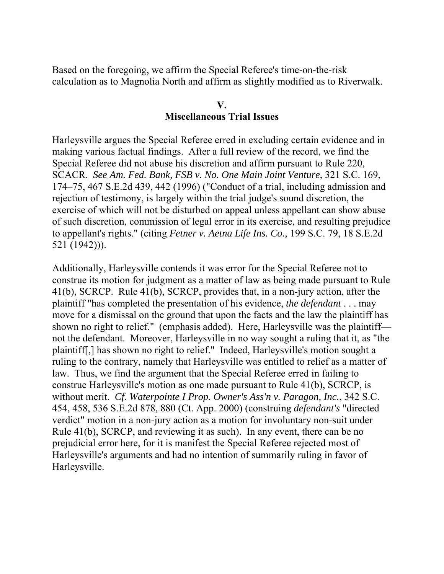Based on the foregoing, we affirm the Special Referee's time-on-the-risk calculation as to Magnolia North and affirm as slightly modified as to Riverwalk.

#### **V.**

### **Miscellaneous Trial Issues**

Harleysville argues the Special Referee erred in excluding certain evidence and in making various factual findings. After a full review of the record, we find the Special Referee did not abuse his discretion and affirm pursuant to Rule 220, SCACR. *See Am. Fed. Bank, FSB v. No. One Main Joint Venture*, 321 S.C. 169, 174–75, 467 S.E.2d 439, 442 (1996) ("Conduct of a trial, including admission and rejection of testimony, is largely within the trial judge's sound discretion, the exercise of which will not be disturbed on appeal unless appellant can show abuse of such discretion, commission of legal error in its exercise, and resulting prejudice to appellant's rights." (citing *Fetner v. Aetna Life Ins. Co.,* 199 S.C. 79, 18 S.E.2d 521 (1942))).

Additionally, Harleysville contends it was error for the Special Referee not to construe its motion for judgment as a matter of law as being made pursuant to Rule 41(b), SCRCP. Rule 41(b), SCRCP, provides that, in a non-jury action, after the plaintiff "has completed the presentation of his evidence, *the defendant* . . . may move for a dismissal on the ground that upon the facts and the law the plaintiff has shown no right to relief." (emphasis added). Here, Harleysville was the plaintiff not the defendant. Moreover, Harleysville in no way sought a ruling that it, as "the plaintiff[,] has shown no right to relief." Indeed, Harleysville's motion sought a ruling to the contrary, namely that Harleysville was entitled to relief as a matter of law. Thus, we find the argument that the Special Referee erred in failing to construe Harleysville's motion as one made pursuant to Rule 41(b), SCRCP, is without merit. *Cf. Waterpointe I Prop. Owner's Ass'n v. Paragon, Inc.*, 342 S.C. 454, 458, 536 S.E.2d 878, 880 (Ct. App. 2000) (construing *defendant's* "directed verdict" motion in a non-jury action as a motion for involuntary non-suit under Rule 41(b), SCRCP, and reviewing it as such). In any event, there can be no prejudicial error here, for it is manifest the Special Referee rejected most of Harleysville's arguments and had no intention of summarily ruling in favor of Harleysville.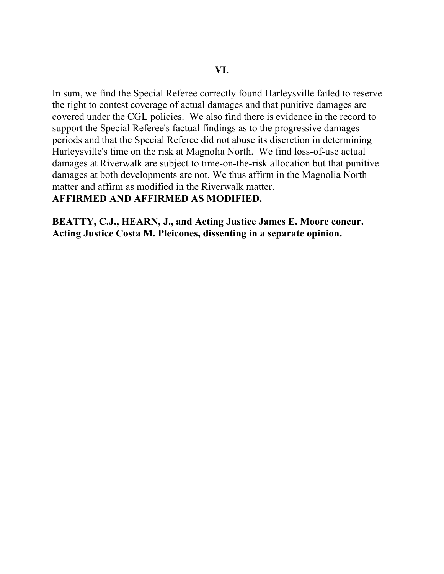In sum, we find the Special Referee correctly found Harleysville failed to reserve the right to contest coverage of actual damages and that punitive damages are covered under the CGL policies. We also find there is evidence in the record to support the Special Referee's factual findings as to the progressive damages periods and that the Special Referee did not abuse its discretion in determining Harleysville's time on the risk at Magnolia North. We find loss-of-use actual damages at Riverwalk are subject to time-on-the-risk allocation but that punitive damages at both developments are not. We thus affirm in the Magnolia North matter and affirm as modified in the Riverwalk matter. **AFFIRMED AND AFFIRMED AS MODIFIED.** 

**BEATTY, C.J., HEARN, J., and Acting Justice James E. Moore concur. Acting Justice Costa M. Pleicones, dissenting in a separate opinion.**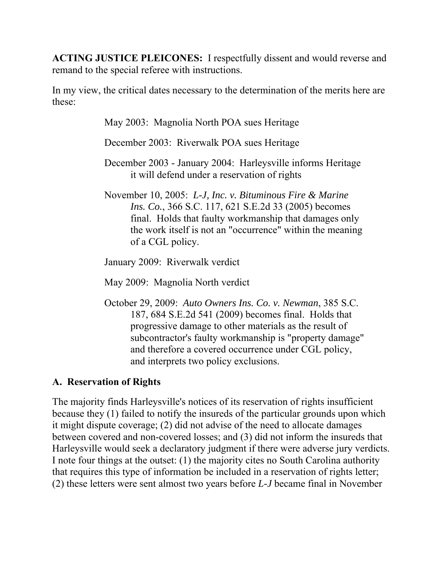**ACTING JUSTICE PLEICONES:** I respectfully dissent and would reverse and remand to the special referee with instructions.

In my view, the critical dates necessary to the determination of the merits here are these:

May 2003: Magnolia North POA sues Heritage

December 2003: Riverwalk POA sues Heritage

- December 2003 January 2004: Harleysville informs Heritage it will defend under a reservation of rights
- November 10, 2005: *L-J, Inc. v. Bituminous Fire & Marine Ins. Co.*, 366 S.C. 117, 621 S.E.2d 33 (2005) becomes final. Holds that faulty workmanship that damages only the work itself is not an "occurrence" within the meaning of a CGL policy.

January 2009: Riverwalk verdict

May 2009: Magnolia North verdict

October 29, 2009: *Auto Owners Ins. Co. v. Newman*, 385 S.C. 187, 684 S.E.2d 541 (2009) becomes final. Holds that progressive damage to other materials as the result of subcontractor's faulty workmanship is "property damage" and therefore a covered occurrence under CGL policy, and interprets two policy exclusions.

# **A. Reservation of Rights**

The majority finds Harleysville's notices of its reservation of rights insufficient because they (1) failed to notify the insureds of the particular grounds upon which it might dispute coverage; (2) did not advise of the need to allocate damages between covered and non-covered losses; and (3) did not inform the insureds that Harleysville would seek a declaratory judgment if there were adverse jury verdicts. I note four things at the outset: (1) the majority cites no South Carolina authority that requires this type of information be included in a reservation of rights letter; (2) these letters were sent almost two years before *L-J* became final in November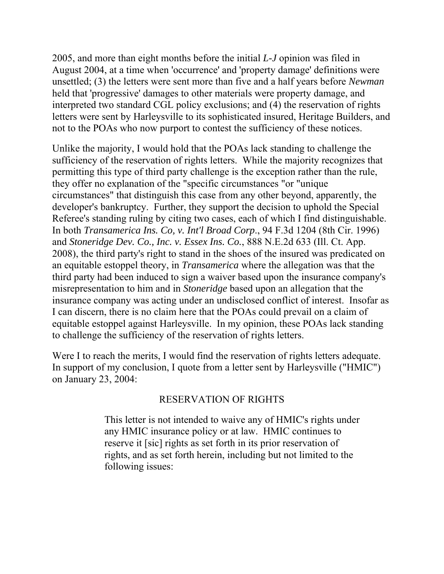2005, and more than eight months before the initial *L-J* opinion was filed in August 2004, at a time when 'occurrence' and 'property damage' definitions were unsettled; (3) the letters were sent more than five and a half years before *Newman*  held that 'progressive' damages to other materials were property damage, and interpreted two standard CGL policy exclusions; and (4) the reservation of rights letters were sent by Harleysville to its sophisticated insured, Heritage Builders, and not to the POAs who now purport to contest the sufficiency of these notices.

Unlike the majority, I would hold that the POAs lack standing to challenge the sufficiency of the reservation of rights letters. While the majority recognizes that permitting this type of third party challenge is the exception rather than the rule, they offer no explanation of the "specific circumstances "or "unique circumstances" that distinguish this case from any other beyond, apparently, the developer's bankruptcy. Further, they support the decision to uphold the Special Referee's standing ruling by citing two cases, each of which I find distinguishable. In both *Transamerica Ins. Co, v. Int'l Broad Corp*., 94 F.3d 1204 (8th Cir. 1996) and *Stoneridge Dev. Co., Inc. v. Essex Ins. Co.*, 888 N.E.2d 633 (Ill. Ct. App. 2008), the third party's right to stand in the shoes of the insured was predicated on an equitable estoppel theory, in *Transamerica* where the allegation was that the third party had been induced to sign a waiver based upon the insurance company's misrepresentation to him and in *Stoneridge* based upon an allegation that the insurance company was acting under an undisclosed conflict of interest. Insofar as I can discern, there is no claim here that the POAs could prevail on a claim of equitable estoppel against Harleysville. In my opinion, these POAs lack standing to challenge the sufficiency of the reservation of rights letters.

Were I to reach the merits, I would find the reservation of rights letters adequate. In support of my conclusion, I quote from a letter sent by Harleysville ("HMIC") on January 23, 2004:

# RESERVATION OF RIGHTS

This letter is not intended to waive any of HMIC's rights under any HMIC insurance policy or at law. HMIC continues to reserve it [sic] rights as set forth in its prior reservation of rights, and as set forth herein, including but not limited to the following issues: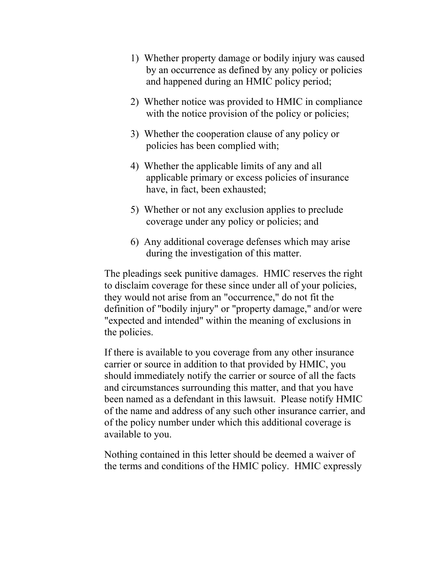- 1) Whether property damage or bodily injury was caused by an occurrence as defined by any policy or policies and happened during an HMIC policy period;
- 2) Whether notice was provided to HMIC in compliance with the notice provision of the policy or policies;
- 3) Whether the cooperation clause of any policy or policies has been complied with;
- 4) Whether the applicable limits of any and all applicable primary or excess policies of insurance have, in fact, been exhausted;
- 5) Whether or not any exclusion applies to preclude coverage under any policy or policies; and
- 6) Any additional coverage defenses which may arise during the investigation of this matter.

The pleadings seek punitive damages. HMIC reserves the right to disclaim coverage for these since under all of your policies, they would not arise from an "occurrence," do not fit the definition of "bodily injury" or "property damage," and/or were "expected and intended" within the meaning of exclusions in the policies.

If there is available to you coverage from any other insurance carrier or source in addition to that provided by HMIC, you should immediately notify the carrier or source of all the facts and circumstances surrounding this matter, and that you have been named as a defendant in this lawsuit. Please notify HMIC of the name and address of any such other insurance carrier, and of the policy number under which this additional coverage is available to you.

Nothing contained in this letter should be deemed a waiver of the terms and conditions of the HMIC policy. HMIC expressly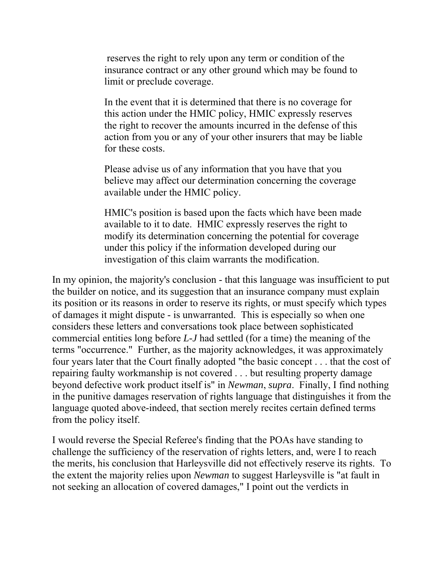reserves the right to rely upon any term or condition of the insurance contract or any other ground which may be found to limit or preclude coverage.

In the event that it is determined that there is no coverage for this action under the HMIC policy, HMIC expressly reserves the right to recover the amounts incurred in the defense of this action from you or any of your other insurers that may be liable for these costs.

Please advise us of any information that you have that you believe may affect our determination concerning the coverage available under the HMIC policy.

HMIC's position is based upon the facts which have been made available to it to date. HMIC expressly reserves the right to modify its determination concerning the potential for coverage under this policy if the information developed during our investigation of this claim warrants the modification.

 of damages it might dispute - is unwarranted. This is especially so when one In my opinion, the majority's conclusion - that this language was insufficient to put the builder on notice, and its suggestion that an insurance company must explain its position or its reasons in order to reserve its rights, or must specify which types considers these letters and conversations took place between sophisticated commercial entities long before *L-J* had settled (for a time) the meaning of the terms "occurrence." Further, as the majority acknowledges, it was approximately four years later that the Court finally adopted "the basic concept . . . that the cost of repairing faulty workmanship is not covered . . . but resulting property damage beyond defective work product itself is" in *Newman*, *supra*. Finally, I find nothing in the punitive damages reservation of rights language that distinguishes it from the language quoted above-indeed, that section merely recites certain defined terms from the policy itself.

I would reverse the Special Referee's finding that the POAs have standing to challenge the sufficiency of the reservation of rights letters, and, were I to reach the merits, his conclusion that Harleysville did not effectively reserve its rights. To the extent the majority relies upon *Newman* to suggest Harleysville is "at fault in not seeking an allocation of covered damages," I point out the verdicts in